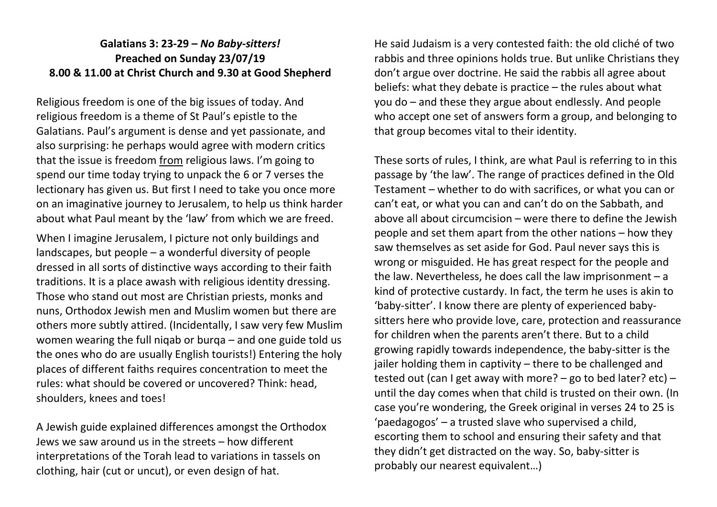## **Galatians 3: 23-29 –** *No Baby-sitters!* **Preached on Sunday 23/07/19 8.00 & 11.00 at Christ Church and 9.30 at Good Shepherd**

Religious freedom is one of the big issues of today. And religious freedom is a theme of St Paul's epistle to the Galatians. Paul's argument is dense and yet passionate, and also surprising: he perhaps would agree with modern critics that the issue is freedom from religious laws. I'm going to spend our time today trying to unpack the 6 or 7 verses the lectionary has given us. But first I need to take you once more on an imaginative journey to Jerusalem, to help us think harder about what Paul meant by the 'law' from which we are freed.

When I imagine Jerusalem, I picture not only buildings and landscapes, but people – a wonderful diversity of people dressed in all sorts of distinctive ways according to their faith traditions. It is a place awash with religious identity dressing. Those who stand out most are Christian priests, monks and nuns, Orthodox Jewish men and Muslim women but there are others more subtly attired. (Incidentally, I saw very few Muslim women wearing the full niqab or burqa – and one guide told us the ones who do are usually English tourists!) Entering the holy places of different faiths requires concentration to meet the rules: what should be covered or uncovered? Think: head, shoulders, knees and toes!

A Jewish guide explained differences amongst the Orthodox Jews we saw around us in the streets – how different interpretations of the Torah lead to variations in tassels on clothing, hair (cut or uncut), or even design of hat.

He said Judaism is a very contested faith: the old cliché of two rabbis and three opinions holds true. But unlike Christians they don't argue over doctrine. He said the rabbis all agree about beliefs: what they debate is practice – the rules about what you do – and these they argue about endlessly. And people who accept one set of answers form a group, and belonging to that group becomes vital to their identity.

These sorts of rules, I think, are what Paul is referring to in this passage by 'the law'. The range of practices defined in the Old Testament – whether to do with sacrifices, or what you can or can't eat, or what you can and can't do on the Sabbath, and above all about circumcision – were there to define the Jewish people and set them apart from the other nations – how they saw themselves as set aside for God. Paul never says this is wrong or misguided. He has great respect for the people and the law. Nevertheless, he does call the law imprisonment – a kind of protective custardy. In fact, the term he uses is akin to 'baby-sitter'. I know there are plenty of experienced babysitters here who provide love, care, protection and reassurance for children when the parents aren't there. But to a child growing rapidly towards independence, the baby-sitter is the jailer holding them in captivity – there to be challenged and tested out (can I get away with more? – go to bed later? etc) – until the day comes when that child is trusted on their own. (In case you're wondering, the Greek original in verses 24 to 25 is 'paedagogos' – a trusted slave who supervised a child, escorting them to school and ensuring their safety and that they didn't get distracted on the way. So, baby-sitter is probably our nearest equivalent…)